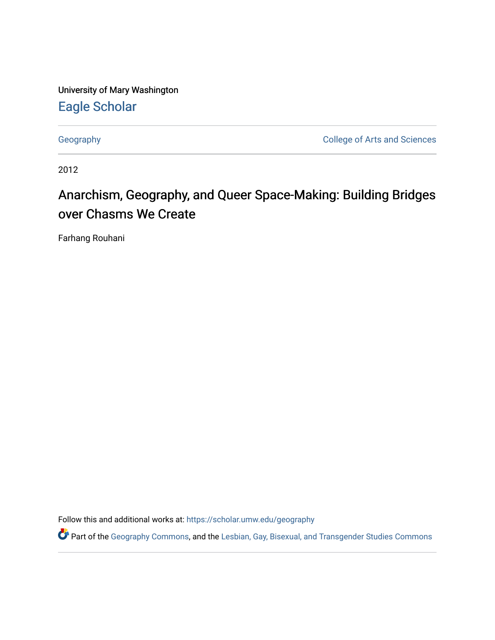University of Mary Washington [Eagle Scholar](https://scholar.umw.edu/) 

[Geography](https://scholar.umw.edu/geography) [College of Arts and Sciences](https://scholar.umw.edu/cas) 

2012

# Anarchism, Geography, and Queer Space-Making: Building Bridges over Chasms We Create

Farhang Rouhani

Follow this and additional works at: [https://scholar.umw.edu/geography](https://scholar.umw.edu/geography?utm_source=scholar.umw.edu%2Fgeography%2F7&utm_medium=PDF&utm_campaign=PDFCoverPages)

Part of the [Geography Commons,](http://network.bepress.com/hgg/discipline/354?utm_source=scholar.umw.edu%2Fgeography%2F7&utm_medium=PDF&utm_campaign=PDFCoverPages) and the Lesbian, Gay, Bisexual, and Transgender Studies Commons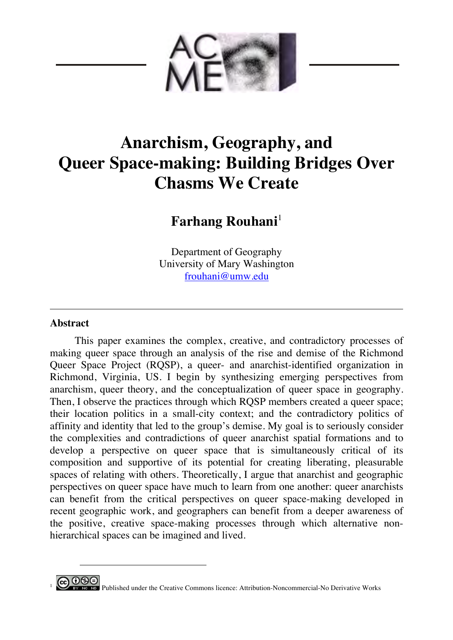

# **Anarchism, Geography, and Queer Space-making: Building Bridges Over Chasms We Create**

**Farhang Rouhani**<sup>1</sup>

Department of Geography University of Mary Washington [frouhani@umw.edu](mailto:frouhani@umw.edu)

# **Abstract**

 $\overline{a}$ 

This paper examines the complex, creative, and contradictory processes of making queer space through an analysis of the rise and demise of the Richmond Queer Space Project (RQSP), a queer- and anarchist-identified organization in Richmond, Virginia, US. I begin by synthesizing emerging perspectives from anarchism, queer theory, and the conceptualization of queer space in geography. Then, I observe the practices through which RQSP members created a queer space; their location politics in a small-city context; and the contradictory politics of affinity and identity that led to the group's demise. My goal is to seriously consider the complexities and contradictions of queer anarchist spatial formations and to develop a perspective on queer space that is simultaneously critical of its composition and supportive of its potential for creating liberating, pleasurable spaces of relating with others. Theoretically, I argue that anarchist and geographic perspectives on queer space have much to learn from one another: queer anarchists can benefit from the critical perspectives on queer space-making developed in recent geographic work, and geographers can benefit from a deeper awareness of the positive, creative space-making processes through which alternative nonhierarchical spaces can be imagined and lived.

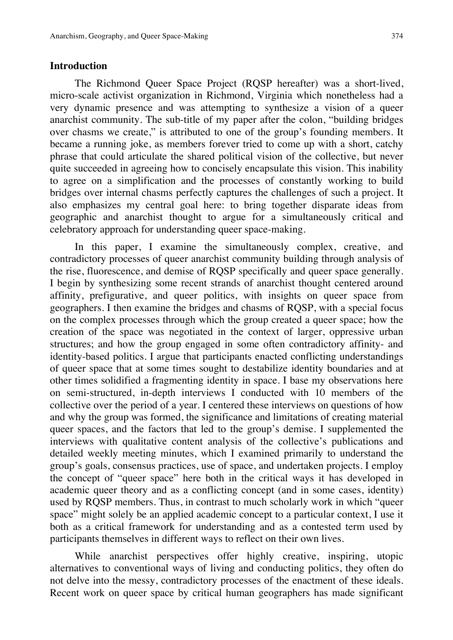### **Introduction**

The Richmond Queer Space Project (RQSP hereafter) was a short-lived, micro-scale activist organization in Richmond, Virginia which nonetheless had a very dynamic presence and was attempting to synthesize a vision of a queer anarchist community. The sub-title of my paper after the colon, "building bridges over chasms we create," is attributed to one of the group's founding members. It became a running joke, as members forever tried to come up with a short, catchy phrase that could articulate the shared political vision of the collective, but never quite succeeded in agreeing how to concisely encapsulate this vision. This inability to agree on a simplification and the processes of constantly working to build bridges over internal chasms perfectly captures the challenges of such a project. It also emphasizes my central goal here: to bring together disparate ideas from geographic and anarchist thought to argue for a simultaneously critical and celebratory approach for understanding queer space-making.

In this paper, I examine the simultaneously complex, creative, and contradictory processes of queer anarchist community building through analysis of the rise, fluorescence, and demise of RQSP specifically and queer space generally. I begin by synthesizing some recent strands of anarchist thought centered around affinity, prefigurative, and queer politics, with insights on queer space from geographers. I then examine the bridges and chasms of RQSP, with a special focus on the complex processes through which the group created a queer space; how the creation of the space was negotiated in the context of larger, oppressive urban structures; and how the group engaged in some often contradictory affinity- and identity-based politics. I argue that participants enacted conflicting understandings of queer space that at some times sought to destabilize identity boundaries and at other times solidified a fragmenting identity in space. I base my observations here on semi-structured, in-depth interviews I conducted with 10 members of the collective over the period of a year. I centered these interviews on questions of how and why the group was formed, the significance and limitations of creating material queer spaces, and the factors that led to the group's demise. I supplemented the interviews with qualitative content analysis of the collective's publications and detailed weekly meeting minutes, which I examined primarily to understand the group's goals, consensus practices, use of space, and undertaken projects. I employ the concept of "queer space" here both in the critical ways it has developed in academic queer theory and as a conflicting concept (and in some cases, identity) used by RQSP members. Thus, in contrast to much scholarly work in which "queer space" might solely be an applied academic concept to a particular context, I use it both as a critical framework for understanding and as a contested term used by participants themselves in different ways to reflect on their own lives.

While anarchist perspectives offer highly creative, inspiring, utopic alternatives to conventional ways of living and conducting politics, they often do not delve into the messy, contradictory processes of the enactment of these ideals. Recent work on queer space by critical human geographers has made significant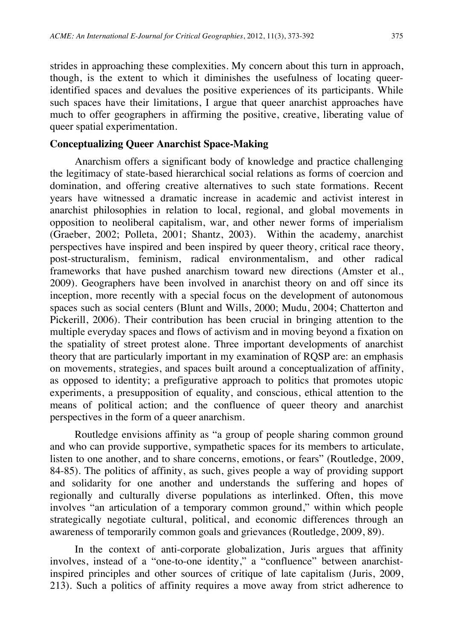strides in approaching these complexities. My concern about this turn in approach, though, is the extent to which it diminishes the usefulness of locating queeridentified spaces and devalues the positive experiences of its participants. While such spaces have their limitations, I argue that queer anarchist approaches have much to offer geographers in affirming the positive, creative, liberating value of queer spatial experimentation.

#### **Conceptualizing Queer Anarchist Space-Making**

Anarchism offers a significant body of knowledge and practice challenging the legitimacy of state-based hierarchical social relations as forms of coercion and domination, and offering creative alternatives to such state formations. Recent years have witnessed a dramatic increase in academic and activist interest in anarchist philosophies in relation to local, regional, and global movements in opposition to neoliberal capitalism, war, and other newer forms of imperialism (Graeber, 2002; Polleta, 2001; Shantz, 2003). Within the academy, anarchist perspectives have inspired and been inspired by queer theory, critical race theory, post-structuralism, feminism, radical environmentalism, and other radical frameworks that have pushed anarchism toward new directions (Amster et al., 2009). Geographers have been involved in anarchist theory on and off since its inception, more recently with a special focus on the development of autonomous spaces such as social centers (Blunt and Wills, 2000; Mudu, 2004; Chatterton and Pickerill, 2006). Their contribution has been crucial in bringing attention to the multiple everyday spaces and flows of activism and in moving beyond a fixation on the spatiality of street protest alone. Three important developments of anarchist theory that are particularly important in my examination of RQSP are: an emphasis on movements, strategies, and spaces built around a conceptualization of affinity, as opposed to identity; a prefigurative approach to politics that promotes utopic experiments, a presupposition of equality, and conscious, ethical attention to the means of political action; and the confluence of queer theory and anarchist perspectives in the form of a queer anarchism.

Routledge envisions affinity as "a group of people sharing common ground and who can provide supportive, sympathetic spaces for its members to articulate, listen to one another, and to share concerns, emotions, or fears" (Routledge, 2009, 84-85). The politics of affinity, as such, gives people a way of providing support and solidarity for one another and understands the suffering and hopes of regionally and culturally diverse populations as interlinked. Often, this move involves "an articulation of a temporary common ground," within which people strategically negotiate cultural, political, and economic differences through an awareness of temporarily common goals and grievances (Routledge, 2009, 89).

In the context of anti-corporate globalization, Juris argues that affinity involves, instead of a "one-to-one identity," a "confluence" between anarchistinspired principles and other sources of critique of late capitalism (Juris, 2009, 213). Such a politics of affinity requires a move away from strict adherence to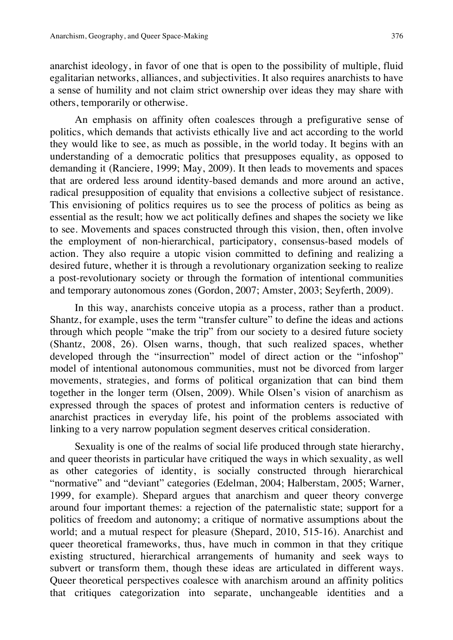anarchist ideology, in favor of one that is open to the possibility of multiple, fluid egalitarian networks, alliances, and subjectivities. It also requires anarchists to have a sense of humility and not claim strict ownership over ideas they may share with others, temporarily or otherwise.

An emphasis on affinity often coalesces through a prefigurative sense of politics, which demands that activists ethically live and act according to the world they would like to see, as much as possible, in the world today. It begins with an understanding of a democratic politics that presupposes equality, as opposed to demanding it (Ranciere, 1999; May, 2009). It then leads to movements and spaces that are ordered less around identity-based demands and more around an active, radical presupposition of equality that envisions a collective subject of resistance. This envisioning of politics requires us to see the process of politics as being as essential as the result; how we act politically defines and shapes the society we like to see. Movements and spaces constructed through this vision, then, often involve the employment of non-hierarchical, participatory, consensus-based models of action. They also require a utopic vision committed to defining and realizing a desired future, whether it is through a revolutionary organization seeking to realize a post-revolutionary society or through the formation of intentional communities and temporary autonomous zones (Gordon, 2007; Amster, 2003; Seyferth, 2009).

In this way, anarchists conceive utopia as a process, rather than a product. Shantz, for example, uses the term "transfer culture" to define the ideas and actions through which people "make the trip" from our society to a desired future society (Shantz, 2008, 26). Olsen warns, though, that such realized spaces, whether developed through the "insurrection" model of direct action or the "infoshop" model of intentional autonomous communities, must not be divorced from larger movements, strategies, and forms of political organization that can bind them together in the longer term (Olsen, 2009). While Olsen's vision of anarchism as expressed through the spaces of protest and information centers is reductive of anarchist practices in everyday life, his point of the problems associated with linking to a very narrow population segment deserves critical consideration.

Sexuality is one of the realms of social life produced through state hierarchy, and queer theorists in particular have critiqued the ways in which sexuality, as well as other categories of identity, is socially constructed through hierarchical "normative" and "deviant" categories (Edelman, 2004; Halberstam, 2005; Warner, 1999, for example). Shepard argues that anarchism and queer theory converge around four important themes: a rejection of the paternalistic state; support for a politics of freedom and autonomy; a critique of normative assumptions about the world; and a mutual respect for pleasure (Shepard, 2010, 515-16). Anarchist and queer theoretical frameworks, thus, have much in common in that they critique existing structured, hierarchical arrangements of humanity and seek ways to subvert or transform them, though these ideas are articulated in different ways. Queer theoretical perspectives coalesce with anarchism around an affinity politics that critiques categorization into separate, unchangeable identities and a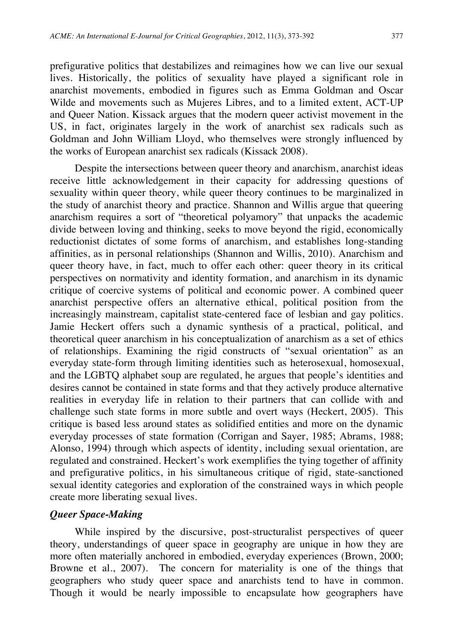prefigurative politics that destabilizes and reimagines how we can live our sexual lives. Historically, the politics of sexuality have played a significant role in anarchist movements, embodied in figures such as Emma Goldman and Oscar Wilde and movements such as Mujeres Libres, and to a limited extent, ACT-UP and Queer Nation. Kissack argues that the modern queer activist movement in the US, in fact, originates largely in the work of anarchist sex radicals such as Goldman and John William Lloyd, who themselves were strongly influenced by the works of European anarchist sex radicals (Kissack 2008).

Despite the intersections between queer theory and anarchism, anarchist ideas receive little acknowledgement in their capacity for addressing questions of sexuality within queer theory, while queer theory continues to be marginalized in the study of anarchist theory and practice. Shannon and Willis argue that queering anarchism requires a sort of "theoretical polyamory" that unpacks the academic divide between loving and thinking, seeks to move beyond the rigid, economically reductionist dictates of some forms of anarchism, and establishes long-standing affinities, as in personal relationships (Shannon and Willis, 2010). Anarchism and queer theory have, in fact, much to offer each other: queer theory in its critical perspectives on normativity and identity formation, and anarchism in its dynamic critique of coercive systems of political and economic power. A combined queer anarchist perspective offers an alternative ethical, political position from the increasingly mainstream, capitalist state-centered face of lesbian and gay politics. Jamie Heckert offers such a dynamic synthesis of a practical, political, and theoretical queer anarchism in his conceptualization of anarchism as a set of ethics of relationships. Examining the rigid constructs of "sexual orientation" as an everyday state-form through limiting identities such as heterosexual, homosexual, and the LGBTQ alphabet soup are regulated, he argues that people's identities and desires cannot be contained in state forms and that they actively produce alternative realities in everyday life in relation to their partners that can collide with and challenge such state forms in more subtle and overt ways (Heckert, 2005). This critique is based less around states as solidified entities and more on the dynamic everyday processes of state formation (Corrigan and Sayer, 1985; Abrams, 1988; Alonso, 1994) through which aspects of identity, including sexual orientation, are regulated and constrained. Heckert's work exemplifies the tying together of affinity and prefigurative politics, in his simultaneous critique of rigid, state-sanctioned sexual identity categories and exploration of the constrained ways in which people create more liberating sexual lives.

#### *Queer Space-Making*

While inspired by the discursive, post-structuralist perspectives of queer theory, understandings of queer space in geography are unique in how they are more often materially anchored in embodied, everyday experiences (Brown, 2000; Browne et al., 2007). The concern for materiality is one of the things that geographers who study queer space and anarchists tend to have in common. Though it would be nearly impossible to encapsulate how geographers have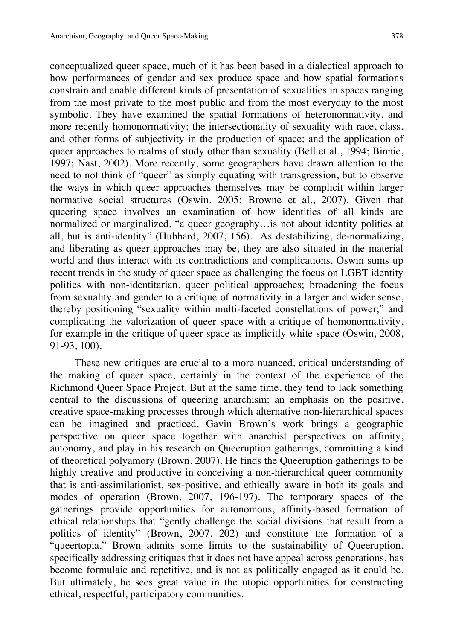conceptualized queer space, much of it has been based in a dialectical approach to how performances of gender and sex produce space and how spatial formations constrain and enable different kinds of presentation of sexualities in spaces ranging from the most private to the most public and from the most everyday to the most symbolic. They have examined the spatial formations of heteronormativity, and more recently homonormativity; the intersectionality of sexuality with race, class, and other forms of subjectivity in the production of space; and the application of queer approaches to realms of study other than sexuality (Bell et al., 1994; Binnie, 1997; Nast, 2002). More recently, some geographers have drawn attention to the need to not think of "queer" as simply equating with transgression, but to observe the ways in which queer approaches themselves may be complicit within larger normative social structures (Oswin, 2005; Browne et al., 2007). Given that queering space involves an examination of how identities of all kinds are normalized or marginalized, "a queer geography…is not about identity politics at all, but is anti-identity" (Hubbard, 2007, 156). As destabilizing, de-normalizing, and liberating as queer approaches may be, they are also situated in the material world and thus interact with its contradictions and complications. Oswin sums up recent trends in the study of queer space as challenging the focus on LGBT identity politics with non-identitarian, queer political approaches; broadening the focus from sexuality and gender to a critique of normativity in a larger and wider sense, thereby positioning "sexuality within multi-faceted constellations of power;" and complicating the valorization of queer space with a critique of homonormativity, for example in the critique of queer space as implicitly white space (Oswin, 2008, 91-93, 100).

These new critiques are crucial to a more nuanced, critical understanding of the making of queer space, certainly in the context of the experience of the Richmond Queer Space Project. But at the same time, they tend to lack something central to the discussions of queering anarchism: an emphasis on the positive, creative space-making processes through which alternative non-hierarchical spaces can be imagined and practiced. Gavin Brown's work brings a geographic perspective on queer space together with anarchist perspectives on affinity, autonomy, and play in his research on Queeruption gatherings, committing a kind of theoretical polyamory (Brown, 2007). He finds the Queeruption gatherings to be highly creative and productive in conceiving a non-hierarchical queer community that is anti-assimilationist, sex-positive, and ethically aware in both its goals and modes of operation (Brown, 2007, 196-197). The temporary spaces of the gatherings provide opportunities for autonomous, affinity-based formation of ethical relationships that "gently challenge the social divisions that result from a politics of identity" (Brown, 2007, 202) and constitute the formation of a "queertopia." Brown admits some limits to the sustainability of Queeruption, specifically addressing critiques that it does not have appeal across generations, has become formulaic and repetitive, and is not as politically engaged as it could be. But ultimately, he sees great value in the utopic opportunities for constructing ethical, respectful, participatory communities.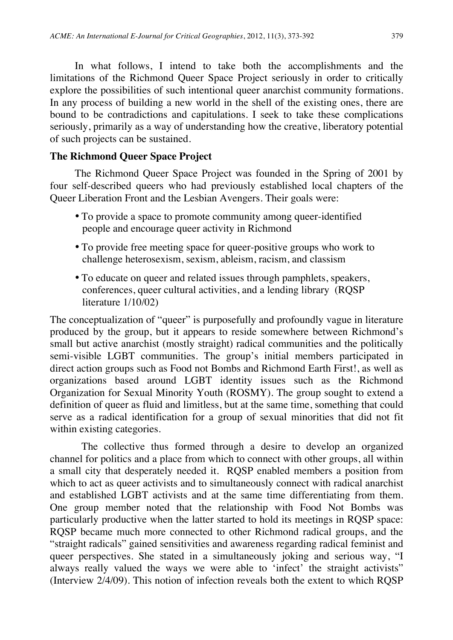In what follows, I intend to take both the accomplishments and the limitations of the Richmond Queer Space Project seriously in order to critically explore the possibilities of such intentional queer anarchist community formations. In any process of building a new world in the shell of the existing ones, there are bound to be contradictions and capitulations. I seek to take these complications seriously, primarily as a way of understanding how the creative, liberatory potential of such projects can be sustained.

# **The Richmond Queer Space Project**

The Richmond Queer Space Project was founded in the Spring of 2001 by four self-described queers who had previously established local chapters of the Queer Liberation Front and the Lesbian Avengers. Their goals were:

- To provide a space to promote community among queer-identified people and encourage queer activity in Richmond
- To provide free meeting space for queer-positive groups who work to challenge heterosexism, sexism, ableism, racism, and classism
- To educate on queer and related issues through pamphlets, speakers, conferences, queer cultural activities, and a lending library (RQSP literature 1/10/02)

The conceptualization of "queer" is purposefully and profoundly vague in literature produced by the group, but it appears to reside somewhere between Richmond's small but active anarchist (mostly straight) radical communities and the politically semi-visible LGBT communities. The group's initial members participated in direct action groups such as Food not Bombs and Richmond Earth First!, as well as organizations based around LGBT identity issues such as the Richmond Organization for Sexual Minority Youth (ROSMY). The group sought to extend a definition of queer as fluid and limitless, but at the same time, something that could serve as a radical identification for a group of sexual minorities that did not fit within existing categories.

The collective thus formed through a desire to develop an organized channel for politics and a place from which to connect with other groups, all within a small city that desperately needed it. RQSP enabled members a position from which to act as queer activists and to simultaneously connect with radical anarchist and established LGBT activists and at the same time differentiating from them. One group member noted that the relationship with Food Not Bombs was particularly productive when the latter started to hold its meetings in RQSP space: RQSP became much more connected to other Richmond radical groups, and the "straight radicals" gained sensitivities and awareness regarding radical feminist and queer perspectives. She stated in a simultaneously joking and serious way, "I always really valued the ways we were able to 'infect' the straight activists" (Interview 2/4/09). This notion of infection reveals both the extent to which RQSP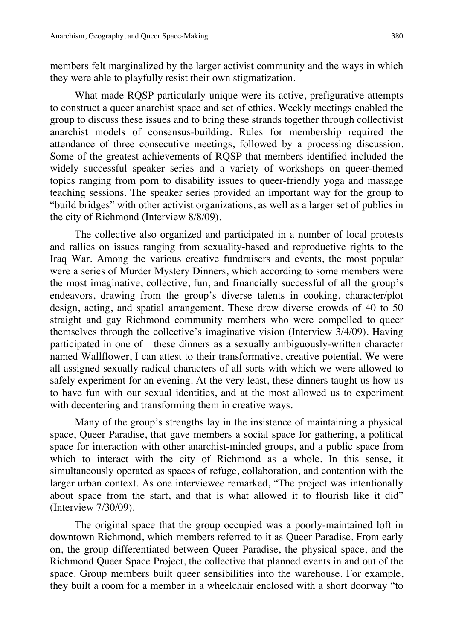members felt marginalized by the larger activist community and the ways in which they were able to playfully resist their own stigmatization.

What made RQSP particularly unique were its active, prefigurative attempts to construct a queer anarchist space and set of ethics. Weekly meetings enabled the group to discuss these issues and to bring these strands together through collectivist anarchist models of consensus-building. Rules for membership required the attendance of three consecutive meetings, followed by a processing discussion. Some of the greatest achievements of RQSP that members identified included the widely successful speaker series and a variety of workshops on queer-themed topics ranging from porn to disability issues to queer-friendly yoga and massage teaching sessions. The speaker series provided an important way for the group to "build bridges" with other activist organizations, as well as a larger set of publics in the city of Richmond (Interview 8/8/09).

 participated in one of these dinners as a sexually ambiguously-written character The collective also organized and participated in a number of local protests and rallies on issues ranging from sexuality-based and reproductive rights to the Iraq War. Among the various creative fundraisers and events, the most popular were a series of Murder Mystery Dinners, which according to some members were the most imaginative, collective, fun, and financially successful of all the group's endeavors, drawing from the group's diverse talents in cooking, character/plot design, acting, and spatial arrangement. These drew diverse crowds of 40 to 50 straight and gay Richmond community members who were compelled to queer themselves through the collective's imaginative vision (Interview 3/4/09). Having named Wallflower, I can attest to their transformative, creative potential. We were all assigned sexually radical characters of all sorts with which we were allowed to safely experiment for an evening. At the very least, these dinners taught us how us to have fun with our sexual identities, and at the most allowed us to experiment with decentering and transforming them in creative ways.

Many of the group's strengths lay in the insistence of maintaining a physical space, Queer Paradise, that gave members a social space for gathering, a political space for interaction with other anarchist-minded groups, and a public space from which to interact with the city of Richmond as a whole. In this sense, it simultaneously operated as spaces of refuge, collaboration, and contention with the larger urban context. As one interviewee remarked, "The project was intentionally about space from the start, and that is what allowed it to flourish like it did" (Interview 7/30/09).

The original space that the group occupied was a poorly-maintained loft in downtown Richmond, which members referred to it as Queer Paradise. From early on, the group differentiated between Queer Paradise, the physical space, and the Richmond Queer Space Project, the collective that planned events in and out of the space. Group members built queer sensibilities into the warehouse. For example, they built a room for a member in a wheelchair enclosed with a short doorway "to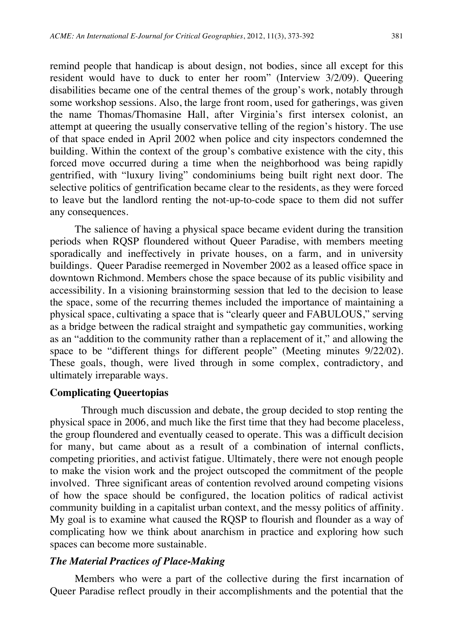remind people that handicap is about design, not bodies, since all except for this resident would have to duck to enter her room" (Interview 3/2/09). Queering disabilities became one of the central themes of the group's work, notably through some workshop sessions. Also, the large front room, used for gatherings, was given the name Thomas/Thomasine Hall, after Virginia's first intersex colonist, an attempt at queering the usually conservative telling of the region's history. The use of that space ended in April 2002 when police and city inspectors condemned the building. Within the context of the group's combative existence with the city, this forced move occurred during a time when the neighborhood was being rapidly gentrified, with "luxury living" condominiums being built right next door. The selective politics of gentrification became clear to the residents, as they were forced to leave but the landlord renting the not-up-to-code space to them did not suffer any consequences.

The salience of having a physical space became evident during the transition periods when RQSP floundered without Queer Paradise, with members meeting sporadically and ineffectively in private houses, on a farm, and in university buildings. Queer Paradise reemerged in November 2002 as a leased office space in downtown Richmond. Members chose the space because of its public visibility and accessibility. In a visioning brainstorming session that led to the decision to lease the space, some of the recurring themes included the importance of maintaining a physical space, cultivating a space that is "clearly queer and FABULOUS," serving as a bridge between the radical straight and sympathetic gay communities, working as an "addition to the community rather than a replacement of it," and allowing the space to be "different things for different people" (Meeting minutes 9/22/02). These goals, though, were lived through in some complex, contradictory, and ultimately irreparable ways.

#### **Complicating Queertopias**

Through much discussion and debate, the group decided to stop renting the physical space in 2006, and much like the first time that they had become placeless, the group floundered and eventually ceased to operate. This was a difficult decision for many, but came about as a result of a combination of internal conflicts, competing priorities, and activist fatigue. Ultimately, there were not enough people to make the vision work and the project outscoped the commitment of the people involved. Three significant areas of contention revolved around competing visions of how the space should be configured, the location politics of radical activist community building in a capitalist urban context, and the messy politics of affinity. My goal is to examine what caused the RQSP to flourish and flounder as a way of complicating how we think about anarchism in practice and exploring how such spaces can become more sustainable.

#### *The Material Practices of Place-Making*

Members who were a part of the collective during the first incarnation of Queer Paradise reflect proudly in their accomplishments and the potential that the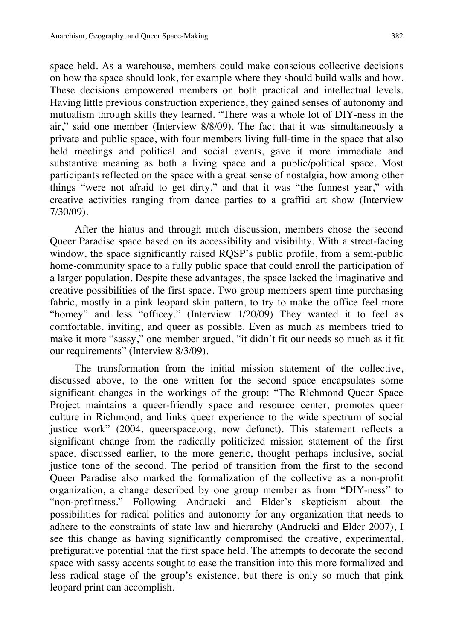space held. As a warehouse, members could make conscious collective decisions on how the space should look, for example where they should build walls and how. These decisions empowered members on both practical and intellectual levels. Having little previous construction experience, they gained senses of autonomy and mutualism through skills they learned. "There was a whole lot of DIY-ness in the air," said one member (Interview 8/8/09). The fact that it was simultaneously a private and public space, with four members living full-time in the space that also held meetings and political and social events, gave it more immediate and substantive meaning as both a living space and a public/political space. Most participants reflected on the space with a great sense of nostalgia, how among other things "were not afraid to get dirty," and that it was "the funnest year," with creative activities ranging from dance parties to a graffiti art show (Interview 7/30/09).

After the hiatus and through much discussion, members chose the second Queer Paradise space based on its accessibility and visibility. With a street-facing window, the space significantly raised RQSP's public profile, from a semi-public home-community space to a fully public space that could enroll the participation of a larger population. Despite these advantages, the space lacked the imaginative and creative possibilities of the first space. Two group members spent time purchasing fabric, mostly in a pink leopard skin pattern, to try to make the office feel more "homey" and less "officey." (Interview 1/20/09) They wanted it to feel as comfortable, inviting, and queer as possible. Even as much as members tried to make it more "sassy," one member argued, "it didn't fit our needs so much as it fit our requirements" (Interview 8/3/09).

The transformation from the initial mission statement of the collective, discussed above, to the one written for the second space encapsulates some significant changes in the workings of the group: "The Richmond Queer Space Project maintains a queer-friendly space and resource center, promotes queer culture in Richmond, and links queer experience to the wide spectrum of social justice work" (2004, [queerspace.org,](https://queerspace.org) now defunct). This statement reflects a significant change from the radically politicized mission statement of the first space, discussed earlier, to the more generic, thought perhaps inclusive, social justice tone of the second. The period of transition from the first to the second Queer Paradise also marked the formalization of the collective as a non-profit organization, a change described by one group member as from "DIY-ness" to "non-profitness." Following Andrucki and Elder's skepticism about the possibilities for radical politics and autonomy for any organization that needs to adhere to the constraints of state law and hierarchy (Andrucki and Elder 2007), I see this change as having significantly compromised the creative, experimental, prefigurative potential that the first space held. The attempts to decorate the second space with sassy accents sought to ease the transition into this more formalized and less radical stage of the group's existence, but there is only so much that pink leopard print can accomplish.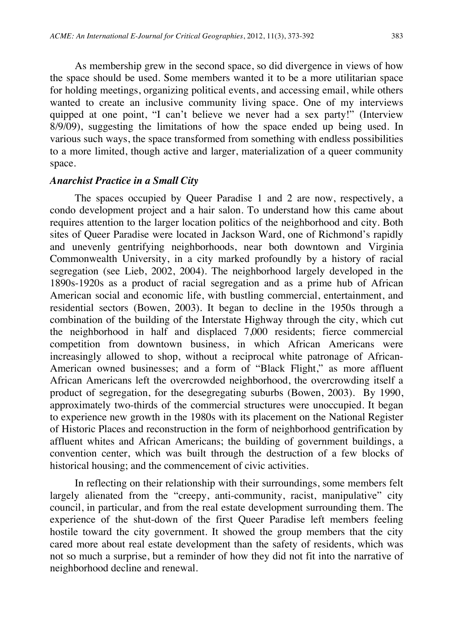As membership grew in the second space, so did divergence in views of how the space should be used. Some members wanted it to be a more utilitarian space for holding meetings, organizing political events, and accessing email, while others wanted to create an inclusive community living space. One of my interviews quipped at one point, "I can't believe we never had a sex party!" (Interview 8/9/09), suggesting the limitations of how the space ended up being used. In various such ways, the space transformed from something with endless possibilities to a more limited, though active and larger, materialization of a queer community space.

#### *Anarchist Practice in a Small City*

The spaces occupied by Queer Paradise 1 and 2 are now, respectively, a condo development project and a hair salon. To understand how this came about requires attention to the larger location politics of the neighborhood and city. Both sites of Queer Paradise were located in Jackson Ward, one of Richmond's rapidly and unevenly gentrifying neighborhoods, near both downtown and Virginia Commonwealth University, in a city marked profoundly by a history of racial segregation (see Lieb, 2002, 2004). The neighborhood largely developed in the 1890s-1920s as a product of racial segregation and as a prime hub of African American social and economic life, with bustling commercial, entertainment, and residential sectors (Bowen, 2003). It began to decline in the 1950s through a combination of the building of the Interstate Highway through the city, which cut the neighborhood in half and displaced 7,000 residents; fierce commercial competition from downtown business, in which African Americans were increasingly allowed to shop, without a reciprocal white patronage of African-American owned businesses; and a form of "Black Flight," as more affluent African Americans left the overcrowded neighborhood, the overcrowding itself a product of segregation, for the desegregating suburbs (Bowen, 2003). By 1990, approximately two-thirds of the commercial structures were unoccupied. It began to experience new growth in the 1980s with its placement on the National Register of Historic Places and reconstruction in the form of neighborhood gentrification by affluent whites and African Americans; the building of government buildings, a convention center, which was built through the destruction of a few blocks of historical housing; and the commencement of civic activities.

In reflecting on their relationship with their surroundings, some members felt largely alienated from the "creepy, anti-community, racist, manipulative" city council, in particular, and from the real estate development surrounding them. The experience of the shut-down of the first Queer Paradise left members feeling hostile toward the city government. It showed the group members that the city cared more about real estate development than the safety of residents, which was not so much a surprise, but a reminder of how they did not fit into the narrative of neighborhood decline and renewal.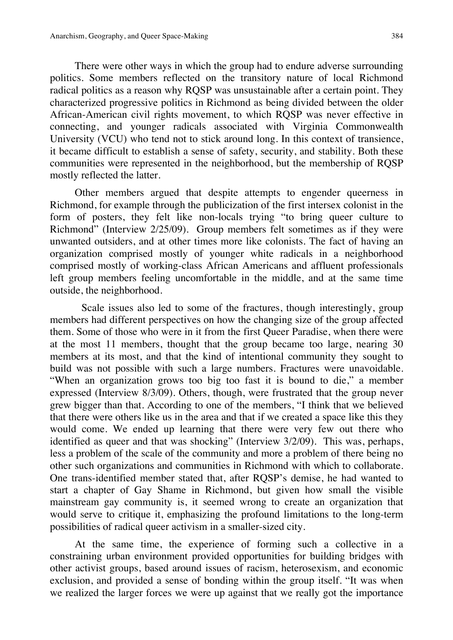There were other ways in which the group had to endure adverse surrounding politics. Some members reflected on the transitory nature of local Richmond radical politics as a reason why RQSP was unsustainable after a certain point. They characterized progressive politics in Richmond as being divided between the older African-American civil rights movement, to which RQSP was never effective in connecting, and younger radicals associated with Virginia Commonwealth University (VCU) who tend not to stick around long. In this context of transience, it became difficult to establish a sense of safety, security, and stability. Both these communities were represented in the neighborhood, but the membership of RQSP mostly reflected the latter.

Other members argued that despite attempts to engender queerness in Richmond, for example through the publicization of the first intersex colonist in the form of posters, they felt like non-locals trying "to bring queer culture to Richmond" (Interview 2/25/09). Group members felt sometimes as if they were unwanted outsiders, and at other times more like colonists. The fact of having an organization comprised mostly of younger white radicals in a neighborhood comprised mostly of working-class African Americans and affluent professionals left group members feeling uncomfortable in the middle, and at the same time outside, the neighborhood.

Scale issues also led to some of the fractures, though interestingly, group members had different perspectives on how the changing size of the group affected them. Some of those who were in it from the first Queer Paradise, when there were at the most 11 members, thought that the group became too large, nearing 30 members at its most, and that the kind of intentional community they sought to build was not possible with such a large numbers. Fractures were unavoidable. "When an organization grows too big too fast it is bound to die," a member expressed (Interview 8/3/09). Others, though, were frustrated that the group never grew bigger than that. According to one of the members, "I think that we believed that there were others like us in the area and that if we created a space like this they would come. We ended up learning that there were very few out there who identified as queer and that was shocking" (Interview 3/2/09). This was, perhaps, less a problem of the scale of the community and more a problem of there being no other such organizations and communities in Richmond with which to collaborate. One trans-identified member stated that, after RQSP's demise, he had wanted to start a chapter of Gay Shame in Richmond, but given how small the visible mainstream gay community is, it seemed wrong to create an organization that would serve to critique it, emphasizing the profound limitations to the long-term possibilities of radical queer activism in a smaller-sized city.

At the same time, the experience of forming such a collective in a constraining urban environment provided opportunities for building bridges with other activist groups, based around issues of racism, heterosexism, and economic exclusion, and provided a sense of bonding within the group itself. "It was when we realized the larger forces we were up against that we really got the importance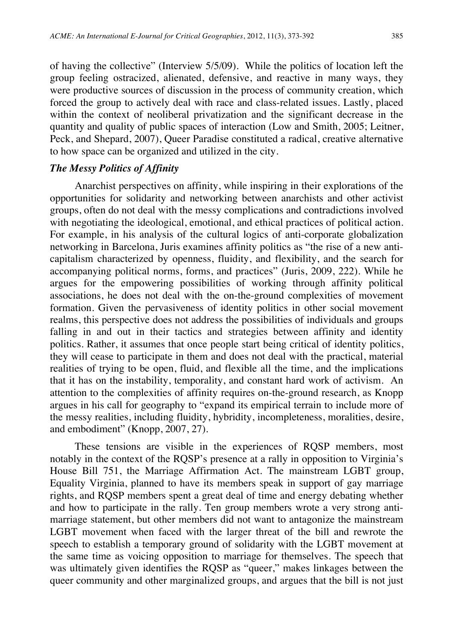of having the collective" (Interview 5/5/09). While the politics of location left the group feeling ostracized, alienated, defensive, and reactive in many ways, they were productive sources of discussion in the process of community creation, which forced the group to actively deal with race and class-related issues. Lastly, placed within the context of neoliberal privatization and the significant decrease in the quantity and quality of public spaces of interaction (Low and Smith, 2005; Leitner, Peck, and Shepard, 2007), Queer Paradise constituted a radical, creative alternative to how space can be organized and utilized in the city.

# *The Messy Politics of Affinity*

Anarchist perspectives on affinity, while inspiring in their explorations of the opportunities for solidarity and networking between anarchists and other activist groups, often do not deal with the messy complications and contradictions involved with negotiating the ideological, emotional, and ethical practices of political action. For example, in his analysis of the cultural logics of anti-corporate globalization networking in Barcelona, Juris examines affinity politics as "the rise of a new anticapitalism characterized by openness, fluidity, and flexibility, and the search for accompanying political norms, forms, and practices" (Juris, 2009, 222). While he argues for the empowering possibilities of working through affinity political associations, he does not deal with the on-the-ground complexities of movement formation. Given the pervasiveness of identity politics in other social movement realms, this perspective does not address the possibilities of individuals and groups falling in and out in their tactics and strategies between affinity and identity politics. Rather, it assumes that once people start being critical of identity politics, they will cease to participate in them and does not deal with the practical, material realities of trying to be open, fluid, and flexible all the time, and the implications that it has on the instability, temporality, and constant hard work of activism. An attention to the complexities of affinity requires on-the-ground research, as Knopp argues in his call for geography to "expand its empirical terrain to include more of the messy realities, including fluidity, hybridity, incompleteness, moralities, desire, and embodiment" (Knopp, 2007, 27).

These tensions are visible in the experiences of RQSP members, most notably in the context of the RQSP's presence at a rally in opposition to Virginia's House Bill 751, the Marriage Affirmation Act. The mainstream LGBT group, Equality Virginia, planned to have its members speak in support of gay marriage rights, and RQSP members spent a great deal of time and energy debating whether and how to participate in the rally. Ten group members wrote a very strong antimarriage statement, but other members did not want to antagonize the mainstream LGBT movement when faced with the larger threat of the bill and rewrote the speech to establish a temporary ground of solidarity with the LGBT movement at the same time as voicing opposition to marriage for themselves. The speech that was ultimately given identifies the RQSP as "queer," makes linkages between the queer community and other marginalized groups, and argues that the bill is not just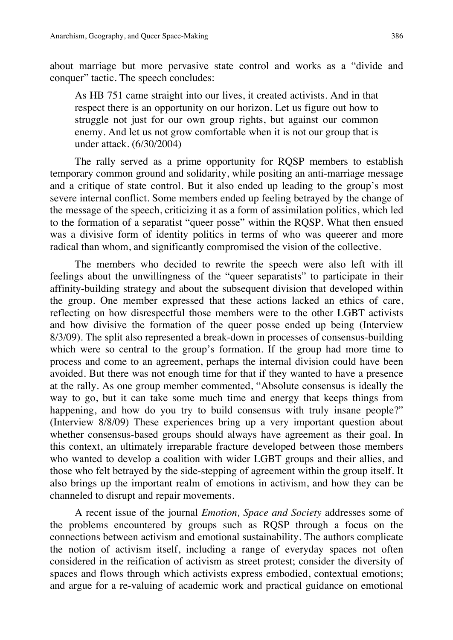about marriage but more pervasive state control and works as a "divide and conquer" tactic. The speech concludes:

As HB 751 came straight into our lives, it created activists. And in that respect there is an opportunity on our horizon. Let us figure out how to struggle not just for our own group rights, but against our common enemy. And let us not grow comfortable when it is not our group that is under attack. (6/30/2004)

The rally served as a prime opportunity for RQSP members to establish temporary common ground and solidarity, while positing an anti-marriage message and a critique of state control. But it also ended up leading to the group's most severe internal conflict. Some members ended up feeling betrayed by the change of the message of the speech, criticizing it as a form of assimilation politics, which led to the formation of a separatist "queer posse" within the RQSP. What then ensued was a divisive form of identity politics in terms of who was queerer and more radical than whom, and significantly compromised the vision of the collective.

The members who decided to rewrite the speech were also left with ill feelings about the unwillingness of the "queer separatists" to participate in their affinity-building strategy and about the subsequent division that developed within the group. One member expressed that these actions lacked an ethics of care, reflecting on how disrespectful those members were to the other LGBT activists and how divisive the formation of the queer posse ended up being (Interview 8/3/09). The split also represented a break-down in processes of consensus-building which were so central to the group's formation. If the group had more time to process and come to an agreement, perhaps the internal division could have been avoided. But there was not enough time for that if they wanted to have a presence at the rally. As one group member commented, "Absolute consensus is ideally the way to go, but it can take some much time and energy that keeps things from happening, and how do you try to build consensus with truly insane people?" (Interview 8/8/09) These experiences bring up a very important question about whether consensus-based groups should always have agreement as their goal. In this context, an ultimately irreparable fracture developed between those members who wanted to develop a coalition with wider LGBT groups and their allies, and those who felt betrayed by the side-stepping of agreement within the group itself. It also brings up the important realm of emotions in activism, and how they can be channeled to disrupt and repair movements.

A recent issue of the journal *Emotion, Space and Society* addresses some of the problems encountered by groups such as RQSP through a focus on the connections between activism and emotional sustainability. The authors complicate the notion of activism itself, including a range of everyday spaces not often considered in the reification of activism as street protest; consider the diversity of spaces and flows through which activists express embodied, contextual emotions; and argue for a re-valuing of academic work and practical guidance on emotional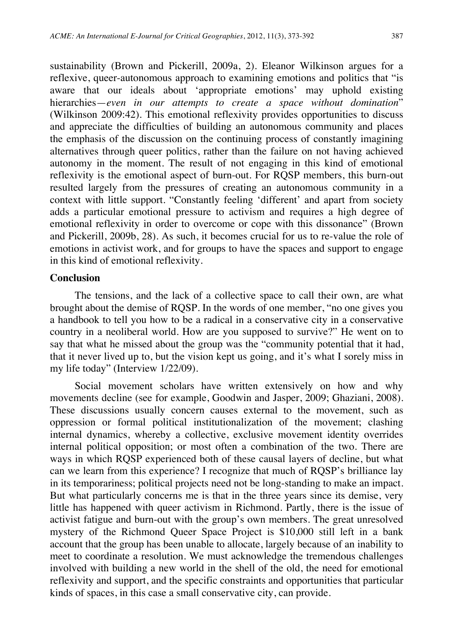sustainability (Brown and Pickerill, 2009a, 2). Eleanor Wilkinson argues for a reflexive, queer-autonomous approach to examining emotions and politics that "is aware that our ideals about 'appropriate emotions' may uphold existing hierarchies—*even in our attempts to create a space without domination*" (Wilkinson 2009:42). This emotional reflexivity provides opportunities to discuss and appreciate the difficulties of building an autonomous community and places the emphasis of the discussion on the continuing process of constantly imagining alternatives through queer politics, rather than the failure on not having achieved autonomy in the moment. The result of not engaging in this kind of emotional reflexivity is the emotional aspect of burn-out. For RQSP members, this burn-out resulted largely from the pressures of creating an autonomous community in a context with little support. "Constantly feeling 'different' and apart from society adds a particular emotional pressure to activism and requires a high degree of emotional reflexivity in order to overcome or cope with this dissonance" (Brown and Pickerill, 2009b, 28). As such, it becomes crucial for us to re-value the role of emotions in activist work, and for groups to have the spaces and support to engage in this kind of emotional reflexivity.

## **Conclusion**

The tensions, and the lack of a collective space to call their own, are what brought about the demise of RQSP. In the words of one member, "no one gives you a handbook to tell you how to be a radical in a conservative city in a conservative country in a neoliberal world. How are you supposed to survive?" He went on to say that what he missed about the group was the "community potential that it had, that it never lived up to, but the vision kept us going, and it's what I sorely miss in my life today" (Interview 1/22/09).

Social movement scholars have written extensively on how and why movements decline (see for example, Goodwin and Jasper, 2009; Ghaziani, 2008). These discussions usually concern causes external to the movement, such as oppression or formal political institutionalization of the movement; clashing internal dynamics, whereby a collective, exclusive movement identity overrides internal political opposition; or most often a combination of the two. There are ways in which RQSP experienced both of these causal layers of decline, but what can we learn from this experience? I recognize that much of RQSP's brilliance lay in its temporariness; political projects need not be long-standing to make an impact. But what particularly concerns me is that in the three years since its demise, very little has happened with queer activism in Richmond. Partly, there is the issue of activist fatigue and burn-out with the group's own members. The great unresolved mystery of the Richmond Queer Space Project is \$10,000 still left in a bank account that the group has been unable to allocate, largely because of an inability to meet to coordinate a resolution. We must acknowledge the tremendous challenges involved with building a new world in the shell of the old, the need for emotional reflexivity and support, and the specific constraints and opportunities that particular kinds of spaces, in this case a small conservative city, can provide.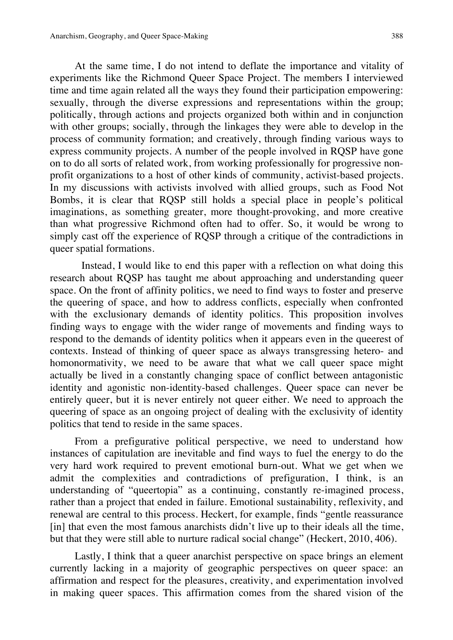At the same time, I do not intend to deflate the importance and vitality of experiments like the Richmond Queer Space Project. The members I interviewed time and time again related all the ways they found their participation empowering: sexually, through the diverse expressions and representations within the group; politically, through actions and projects organized both within and in conjunction with other groups; socially, through the linkages they were able to develop in the process of community formation; and creatively, through finding various ways to express community projects. A number of the people involved in RQSP have gone on to do all sorts of related work, from working professionally for progressive nonprofit organizations to a host of other kinds of community, activist-based projects. In my discussions with activists involved with allied groups, such as Food Not Bombs, it is clear that RQSP still holds a special place in people's political imaginations, as something greater, more thought-provoking, and more creative than what progressive Richmond often had to offer. So, it would be wrong to simply cast off the experience of RQSP through a critique of the contradictions in queer spatial formations.

Instead, I would like to end this paper with a reflection on what doing this research about RQSP has taught me about approaching and understanding queer space. On the front of affinity politics, we need to find ways to foster and preserve the queering of space, and how to address conflicts, especially when confronted with the exclusionary demands of identity politics. This proposition involves finding ways to engage with the wider range of movements and finding ways to respond to the demands of identity politics when it appears even in the queerest of contexts. Instead of thinking of queer space as always transgressing hetero- and homonormativity, we need to be aware that what we call queer space might actually be lived in a constantly changing space of conflict between antagonistic identity and agonistic non-identity-based challenges. Queer space can never be entirely queer, but it is never entirely not queer either. We need to approach the queering of space as an ongoing project of dealing with the exclusivity of identity politics that tend to reside in the same spaces.

From a prefigurative political perspective, we need to understand how instances of capitulation are inevitable and find ways to fuel the energy to do the very hard work required to prevent emotional burn-out. What we get when we admit the complexities and contradictions of prefiguration, I think, is an understanding of "queertopia" as a continuing, constantly re-imagined process, rather than a project that ended in failure. Emotional sustainability, reflexivity, and renewal are central to this process. Heckert, for example, finds "gentle reassurance [in] that even the most famous anarchists didn't live up to their ideals all the time, but that they were still able to nurture radical social change" (Heckert, 2010, 406).

Lastly, I think that a queer anarchist perspective on space brings an element currently lacking in a majority of geographic perspectives on queer space: an affirmation and respect for the pleasures, creativity, and experimentation involved in making queer spaces. This affirmation comes from the shared vision of the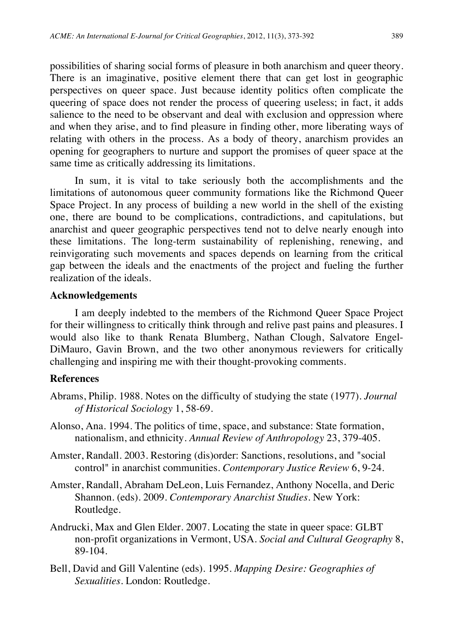possibilities of sharing social forms of pleasure in both anarchism and queer theory. There is an imaginative, positive element there that can get lost in geographic perspectives on queer space. Just because identity politics often complicate the queering of space does not render the process of queering useless; in fact, it adds salience to the need to be observant and deal with exclusion and oppression where and when they arise, and to find pleasure in finding other, more liberating ways of relating with others in the process. As a body of theory, anarchism provides an opening for geographers to nurture and support the promises of queer space at the same time as critically addressing its limitations.

In sum, it is vital to take seriously both the accomplishments and the limitations of autonomous queer community formations like the Richmond Queer Space Project. In any process of building a new world in the shell of the existing one, there are bound to be complications, contradictions, and capitulations, but anarchist and queer geographic perspectives tend not to delve nearly enough into these limitations. The long-term sustainability of replenishing, renewing, and reinvigorating such movements and spaces depends on learning from the critical gap between the ideals and the enactments of the project and fueling the further realization of the ideals.

#### **Acknowledgements**

I am deeply indebted to the members of the Richmond Queer Space Project for their willingness to critically think through and relive past pains and pleasures. I would also like to thank Renata Blumberg, Nathan Clough, Salvatore Engel-DiMauro, Gavin Brown, and the two other anonymous reviewers for critically challenging and inspiring me with their thought-provoking comments.

#### **References**

- Abrams, Philip. 1988. Notes on the difficulty of studying the state (1977). *Journal of Historical Sociology* 1, 58-69.
- Alonso, Ana. 1994. The politics of time, space, and substance: State formation, nationalism, and ethnicity. *Annual Review of Anthropology* 23, 379-405.
- Amster, Randall. 2003. Restoring (dis)order: Sanctions, resolutions, and "social control" in anarchist communities. *Contemporary Justice Review* 6, 9-24.
- Amster, Randall, Abraham DeLeon, Luis Fernandez, Anthony Nocella, and Deric Shannon. (eds). 2009. *Contemporary Anarchist Studies.* New York: Routledge.
- Andrucki, Max and Glen Elder. 2007. Locating the state in queer space: GLBT non-profit organizations in Vermont, USA. *Social and Cultural Geography* 8, 89-104.
- Bell, David and Gill Valentine (eds). 1995. *Mapping Desire: Geographies of Sexualities.* London: Routledge.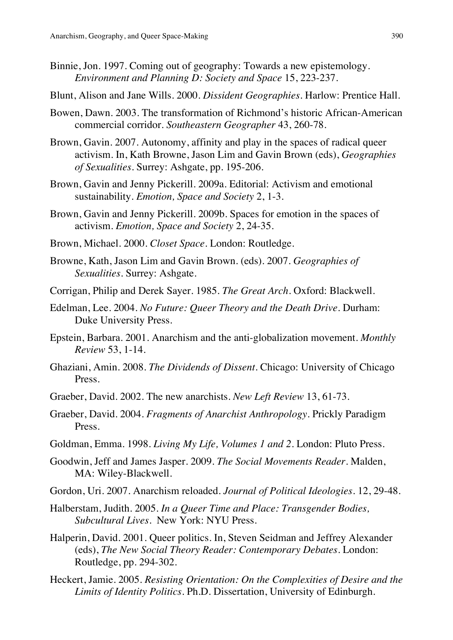- Binnie, Jon. 1997. Coming out of geography: Towards a new epistemology. *Environment and Planning D: Society and Space* 15, 223-237.
- Blunt, Alison and Jane Wills. 2000. *Dissident Geographies.* Harlow: Prentice Hall.
- Bowen, Dawn. 2003. The transformation of Richmond's historic African-American commercial corridor. *Southeastern Geographer* 43, 260-78.
- Brown, Gavin. 2007. Autonomy, affinity and play in the spaces of radical queer activism. In, Kath Browne, Jason Lim and Gavin Brown (eds), *Geographies of Sexualities.* Surrey: Ashgate, pp. 195-206.
- Brown, Gavin and Jenny Pickerill. 2009a. Editorial: Activism and emotional sustainability. *Emotion, Space and Society* 2, 1-3.
- Brown, Gavin and Jenny Pickerill. 2009b. Spaces for emotion in the spaces of activism. *Emotion, Space and Society* 2, 24-35.
- Brown, Michael. 2000. *Closet Space.* London: Routledge.
- Browne, Kath, Jason Lim and Gavin Brown. (eds). 2007. *Geographies of Sexualities.* Surrey: Ashgate.
- Corrigan, Philip and Derek Sayer. 1985. *The Great Arch.* Oxford: Blackwell.
- Edelman, Lee. 2004. *No Future: Queer Theory and the Death Drive*. Durham: Duke University Press.
- Epstein, Barbara. 2001. Anarchism and the anti-globalization movement. *Monthly Review* 53, 1-14.
- Ghaziani, Amin. 2008. *The Dividends of Dissent.* Chicago: University of Chicago Press.
- Graeber, David. 2002. The new anarchists. *New Left Review* 13, 61-73.
- Graeber, David. 2004. *Fragments of Anarchist Anthropology.* Prickly Paradigm Press.
- Goldman, Emma. 1998. *Living My Life, Volumes 1 and 2*. London: Pluto Press.
- Goodwin, Jeff and James Jasper. 2009. *The Social Movements Reader.* Malden, MA: Wiley-Blackwell.
- Gordon, Uri. 2007. Anarchism reloaded. *Journal of Political Ideologies.* 12, 29-48.
- Halberstam, Judith. 2005. *In a Queer Time and Place: Transgender Bodies, Subcultural Lives*. New York: NYU Press.
- Halperin, David. 2001. Queer politics. In, Steven Seidman and Jeffrey Alexander (eds), *The New Social Theory Reader: Contemporary Debates*. London: Routledge, pp. 294-302.
- Heckert, Jamie. 2005. *Resisting Orientation: On the Complexities of Desire and the Limits of Identity Politics*. Ph.D. Dissertation, University of Edinburgh.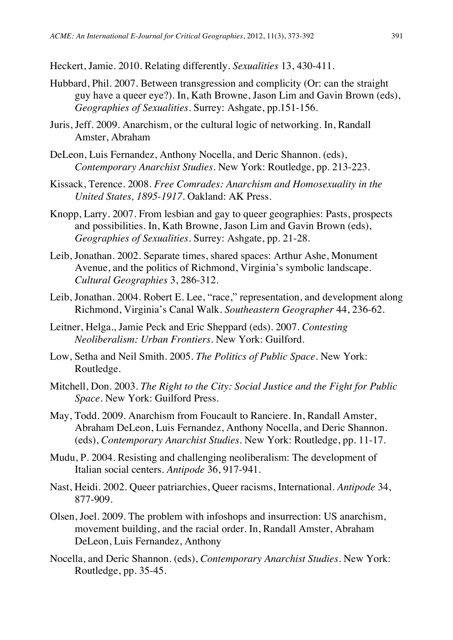Heckert, Jamie. 2010. Relating differently. *Sexualities* 13, 430-411.

- Hubbard, Phil. 2007. Between transgression and complicity (Or: can the straight guy have a queer eye?). In, Kath Browne, Jason Lim and Gavin Brown (eds), *Geographies of Sexualities.* Surrey: Ashgate, pp.151-156.
- Juris, Jeff. 2009. Anarchism, or the cultural logic of networking. In, Randall Amster, Abraham
- DeLeon, Luis Fernandez, Anthony Nocella, and Deric Shannon. (eds), *Contemporary Anarchist Studies.* New York: Routledge, pp. 213-223.
- Kissack, Terence. 2008. *Free Comrades: Anarchism and Homosexuality in the United States, 1895-1917.* Oakland: AK Press.
- Knopp, Larry. 2007. From lesbian and gay to queer geographies: Pasts, prospects and possibilities. In, Kath Browne, Jason Lim and Gavin Brown (eds), *Geographies of Sexualities.* Surrey: Ashgate, pp. 21-28.
- Leib, Jonathan. 2002. Separate times, shared spaces: Arthur Ashe, Monument Avenue, and the politics of Richmond, Virginia's symbolic landscape. *Cultural Geographies* 3, 286-312.
- Leib, Jonathan. 2004. Robert E. Lee, "race," representation, and development along Richmond, Virginia's Canal Walk. *Southeastern Geographer* 44, 236-62.
- Leitner, Helga., Jamie Peck and Eric Sheppard (eds). 2007. *Contesting Neoliberalism: Urban Frontiers.* New York: Guilford.
- Low, Setha and Neil Smith. 2005. *The Politics of Public Space.* New York: Routledge.
- Mitchell, Don. 2003. *The Right to the City: Social Justice and the Fight for Public Space.* New York: Guilford Press.
- May, Todd. 2009. Anarchism from Foucault to Ranciere. In, Randall Amster, Abraham DeLeon, Luis Fernandez, Anthony Nocella, and Deric Shannon. (eds), *Contemporary Anarchist Studies.* New York: Routledge, pp. 11-17.
- Mudu, P. 2004. Resisting and challenging neoliberalism: The development of Italian social centers. *Antipode* 36, 917-941.
- Nast, Heidi. 2002. Queer patriarchies, Queer racisms, International. *Antipode* 34, 877-909.
- Olsen, Joel. 2009. The problem with infoshops and insurrection: US anarchism, movement building, and the racial order. In, Randall Amster, Abraham DeLeon, Luis Fernandez, Anthony
- Nocella, and Deric Shannon. (eds), *Contemporary Anarchist Studies.* New York: Routledge, pp. 35-45.